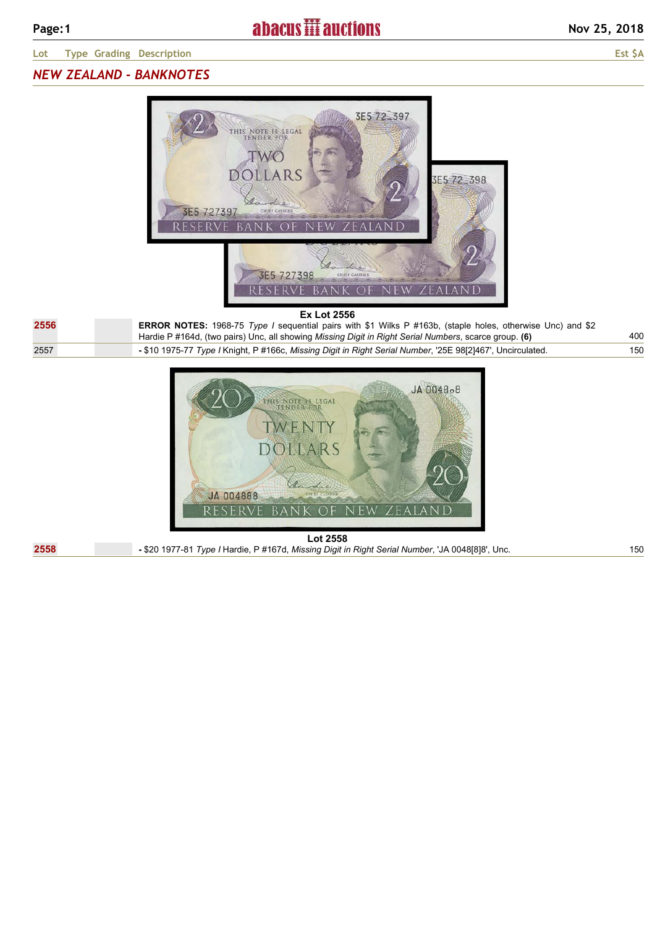# *NEW ZEALAND - BANKNOTES*



### **Ex Lot 2556**

| 2556 | <b>ERROR NOTES:</b> 1968-75 Type I sequential pairs with \$1 Wilks P #163b, (staple holes, otherwise Unc) and \$2<br>Hardie P #164d, (two pairs) Unc, all showing Missing Digit in Right Serial Numbers, scarce group. (6) | 400 |
|------|----------------------------------------------------------------------------------------------------------------------------------------------------------------------------------------------------------------------------|-----|
| 2557 | -\$10 1975-77 Type / Knight, P #166c, Missing Digit in Right Serial Number, '25E 98[2]467', Uncirculated.                                                                                                                  | 150 |



**Lot 2558 2558 -** \$20 1977-81 *Type I* Hardie, P #167d, *Missing Digit in Right Serial Number*, 'JA 0048[8]8', Unc. 150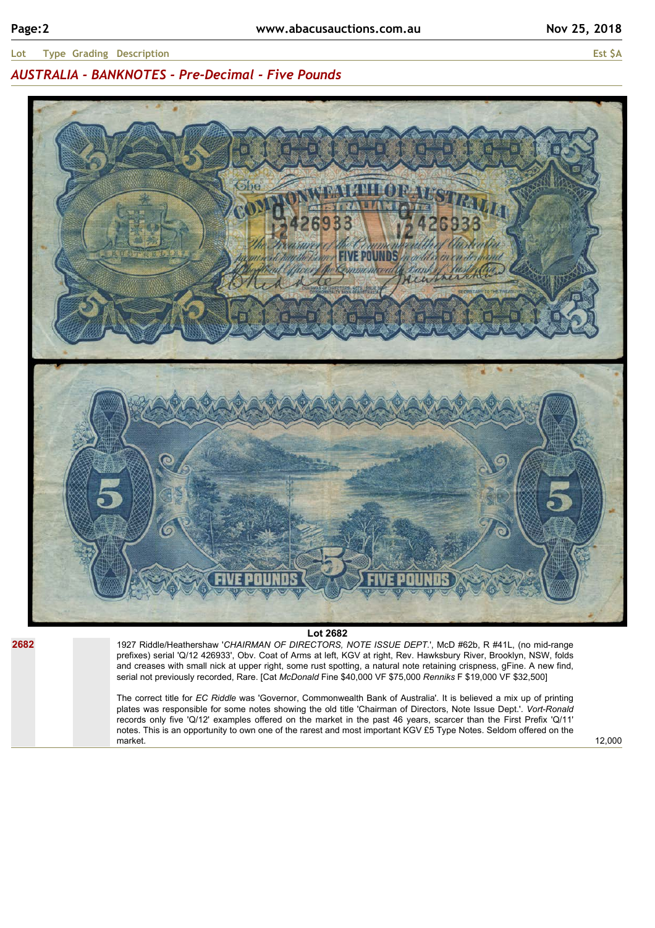## *AUSTRALIA - BANKNOTES - Pre-Decimal - Five Pounds*



**2682**

### **Lot 2682**

1927 Riddle/Heathershaw '*CHAIRMAN OF DIRECTORS, NOTE ISSUE DEPT.*', McD #62b, R #41L, (no mid-range prefixes) serial 'Q/12 426933', Obv. Coat of Arms at left, KGV at right, Rev. Hawksbury River, Brooklyn, NSW, folds and creases with small nick at upper right, some rust spotting, a natural note retaining crispness, gFine. A new find, serial not previously recorded, Rare. [Cat *McDonald* Fine \$40,000 VF \$75,000 *Renniks* F \$19,000 VF \$32,500]

The correct title for *EC Riddle* was 'Governor, Commonwealth Bank of Australia'. It is believed a mix up of printing plates was responsible for some notes showing the old title 'Chairman of Directors, Note Issue Dept.'. *Vort-Ronald* records only five 'Q/12' examples offered on the market in the past 46 years, scarcer than the First Prefix 'Q/11' notes. This is an opportunity to own one of the rarest and most important KGV £5 Type Notes. Seldom offered on the market.